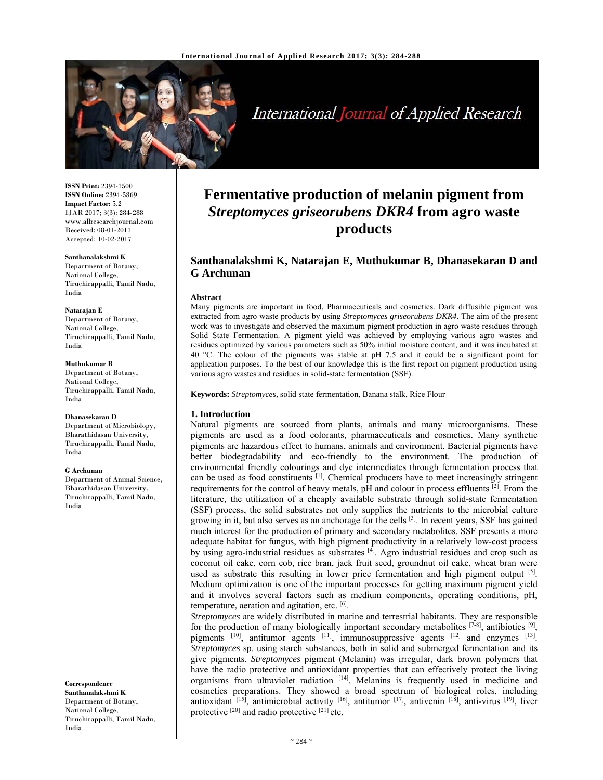

International Journal of Applied Research

**ISSN Print:** 2394-7500 **ISSN Online:** 2394-5869 **Impact Factor:** 5.2 IJAR 2017; 3(3): 284-288 www.allresearchjournal.com Received: 08-01-2017 Accepted: 10-02-2017

#### **Santhanalakshmi K**

Department of Botany, National College, Tiruchirappalli, Tamil Nadu, India

#### **Natarajan E**

Department of Botany, National College, Tiruchirappalli, Tamil Nadu, India

#### **Muthukumar B**

Department of Botany, National College, Tiruchirappalli, Tamil Nadu, India

#### **Dhanasekaran D**

Department of Microbiology, Bharathidasan University, Tiruchirappalli, Tamil Nadu, India

#### **G Archunan**

Department of Animal Science, Bharathidasan University, Tiruchirappalli, Tamil Nadu, India

**Correspondence Santhanalakshmi K**  Department of Botany, National College, Tiruchirappalli, Tamil Nadu, India

# **Fermentative production of melanin pigment from**  *Streptomyces griseorubens DKR4* **from agro waste products**

# **Santhanalakshmi K, Natarajan E, Muthukumar B, Dhanasekaran D and G Archunan**

#### **Abstract**

Many pigments are important in food, Pharmaceuticals and cosmetics. Dark diffusible pigment was extracted from agro waste products by using *Streptomyces griseorubens DKR4*. The aim of the present work was to investigate and observed the maximum pigment production in agro waste residues through Solid State Fermentation. A pigment yield was achieved by employing various agro wastes and residues optimized by various parameters such as 50% initial moisture content, and it was incubated at 40 °C. The colour of the pigments was stable at pH 7.5 and it could be a significant point for application purposes. To the best of our knowledge this is the first report on pigment production using various agro wastes and residues in solid-state fermentation (SSF).

**Keywords:** *Streptomyces,* solid state fermentation, Banana stalk, Rice Flour

#### **1. Introduction**

Natural pigments are sourced from plants, animals and many microorganisms. These pigments are used as a food colorants, pharmaceuticals and cosmetics. Many synthetic pigments are hazardous effect to humans, animals and environment. Bacterial pigments have better biodegradability and eco-friendly to the environment. The production of environmental friendly colourings and dye intermediates through fermentation process that can be used as food constituents  $\left[1\right]$ . Chemical producers have to meet increasingly stringent requirements for the control of heavy metals,  $pH$  and colour in process effluents  $[2]$ . From the literature, the utilization of a cheaply available substrate through solid-state fermentation (SSF) process, the solid substrates not only supplies the nutrients to the microbial culture growing in it, but also serves as an anchorage for the cells [3]. In recent years, SSF has gained much interest for the production of primary and secondary metabolites. SSF presents a more adequate habitat for fungus, with high pigment productivity in a relatively low-cost process by using agro-industrial residues as substrates  $[4]$ . Agro industrial residues and crop such as coconut oil cake, corn cob, rice bran, jack fruit seed, groundnut oil cake, wheat bran were used as substrate this resulting in lower price fermentation and high pigment output  $[5]$ . Medium optimization is one of the important processes for getting maximum pigment yield and it involves several factors such as medium components, operating conditions, pH, temperature, aeration and agitation, etc. [6].

*Streptomyces* are widely distributed in marine and terrestrial habitants. They are responsible for the production of many biologically important secondary metabolites  $[7-8]$ , antibiotics  $[9]$ , pigments  $[10]$ , antitumor agents  $[11]$ , immunosuppressive agents  $[12]$  and enzymes  $[13]$ . *Streptomyces* sp. using starch substances, both in solid and submerged fermentation and its give pigments. *Streptomyces* pigment (Melanin) was irregular, dark brown polymers that have the radio protective and antioxidant properties that can effectively protect the living organisms from ultraviolet radiation [14]. Melanins is frequently used in medicine and cosmetics preparations. They showed a broad spectrum of biological roles, including antioxidant [15], antimicrobial activity [16], antitumor [17], antivenin [18], anti-virus [19], liver protective [20] and radio protective [21] etc.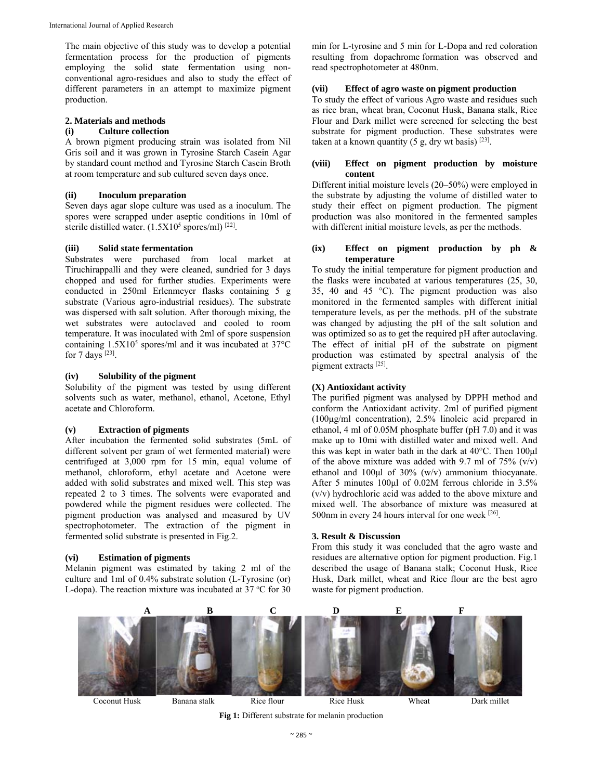The main objective of this study was to develop a potential fermentation process for the production of pigments employing the solid state fermentation using nonconventional agro-residues and also to study the effect of different parameters in an attempt to maximize pigment production.

## **2. Materials and methods**

# **(i) Culture collection**

A brown pigment producing strain was isolated from Nil Gris soil and it was grown in Tyrosine Starch Casein Agar by standard count method and Tyrosine Starch Casein Broth at room temperature and sub cultured seven days once.

## **(ii) Inoculum preparation**

Seven days agar slope culture was used as a inoculum. The spores were scrapped under aseptic conditions in 10ml of sterile distilled water.  $(1.5X10^5 \text{ spores/ml})$ <sup>[22]</sup>.

#### **(iii) Solid state fermentation**

Substrates were purchased from local market at Tiruchirappalli and they were cleaned, sundried for 3 days chopped and used for further studies. Experiments were conducted in 250ml Erlenmeyer flasks containing 5 g substrate (Various agro-industrial residues). The substrate was dispersed with salt solution. After thorough mixing, the wet substrates were autoclaved and cooled to room temperature. It was inoculated with 2ml of spore suspension containing  $1.5X10<sup>5</sup>$  spores/ml and it was incubated at 37 $\rm{°C}$ for  $7$  days  $^{[23]}$ .

#### **(iv) Solubility of the pigment**

Solubility of the pigment was tested by using different solvents such as water, methanol, ethanol, Acetone, Ethyl acetate and Chloroform.

## **(v) Extraction of pigments**

After incubation the fermented solid substrates (5mL of different solvent per gram of wet fermented material) were centrifuged at 3,000 rpm for 15 min, equal volume of methanol, chloroform, ethyl acetate and Acetone were added with solid substrates and mixed well. This step was repeated 2 to 3 times. The solvents were evaporated and powdered while the pigment residues were collected. The pigment production was analysed and measured by UV spectrophotometer. The extraction of the pigment in fermented solid substrate is presented in Fig.2.

### **(vi) Estimation of pigments**

Melanin pigment was estimated by taking 2 ml of the culture and 1ml of 0.4% substrate solution (L-Tyrosine (or) L-dopa). The reaction mixture was incubated at  $37 °C$  for  $30$  min for L-tyrosine and 5 min for L-Dopa and red coloration resulting from dopachrome formation was observed and read spectrophotometer at 480nm.

# **(vii) Effect of agro waste on pigment production**

To study the effect of various Agro waste and residues such as rice bran, wheat bran, Coconut Husk, Banana stalk, Rice Flour and Dark millet were screened for selecting the best substrate for pigment production. These substrates were taken at a known quantity  $(5 g, dry wt basis)^{[23]}$ .

## **(viii) Effect on pigment production by moisture content**

Different initial moisture levels (20–50%) were employed in the substrate by adjusting the volume of distilled water to study their effect on pigment production. The pigment production was also monitored in the fermented samples with different initial moisture levels, as per the methods.

## **(ix) Effect on pigment production by ph & temperature**

To study the initial temperature for pigment production and the flasks were incubated at various temperatures (25, 30, 35, 40 and 45 °C). The pigment production was also monitored in the fermented samples with different initial temperature levels, as per the methods. pH of the substrate was changed by adjusting the pH of the salt solution and was optimized so as to get the required pH after autoclaving. The effect of initial pH of the substrate on pigment production was estimated by spectral analysis of the pigment extracts [25].

#### **(X) Antioxidant activity**

The purified pigment was analysed by DPPH method and conform the Antioxidant activity. 2ml of purified pigment (100μg/ml concentration), 2.5% linoleic acid prepared in ethanol, 4 ml of 0.05M phosphate buffer (pH 7.0) and it was make up to 10mi with distilled water and mixed well. And this was kept in water bath in the dark at 40°C. Then 100μl of the above mixture was added with 9.7 ml of  $75\%$  (v/v) ethanol and 100μl of 30% (w/v) ammonium thiocyanate. After 5 minutes 100μl of 0.02M ferrous chloride in 3.5% (v/v) hydrochloric acid was added to the above mixture and mixed well. The absorbance of mixture was measured at 500nm in every 24 hours interval for one week [26].

## **3. Result & Discussion**

From this study it was concluded that the agro waste and residues are alternative option for pigment production. Fig.1 described the usage of Banana stalk; Coconut Husk, Rice Husk, Dark millet, wheat and Rice flour are the best agro waste for pigment production.



**Fig 1:** Different substrate for melanin production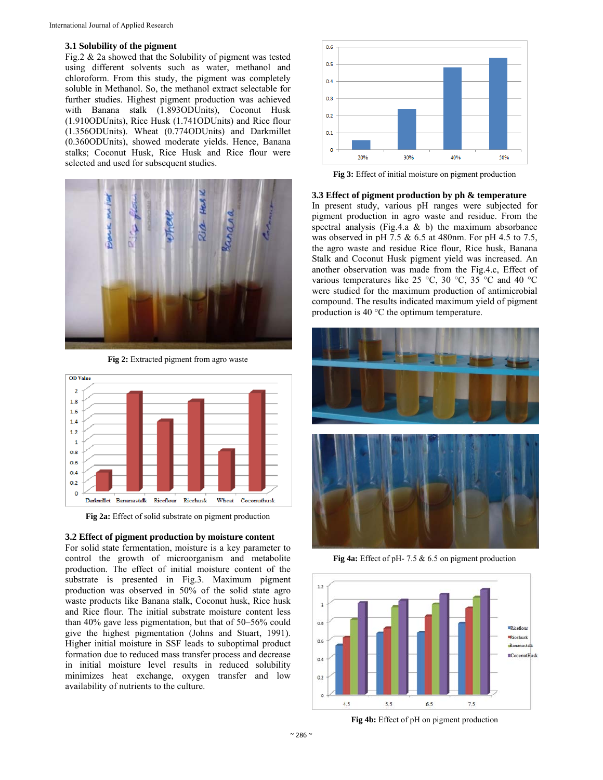#### **3.1 Solubility of the pigment**

Fig.2 & 2a showed that the Solubility of pigment was tested using different solvents such as water, methanol and chloroform. From this study, the pigment was completely soluble in Methanol. So, the methanol extract selectable for further studies. Highest pigment production was achieved with Banana stalk (1.893ODUnits), Coconut Husk (1.910ODUnits), Rice Husk (1.741ODUnits) and Rice flour (1.356ODUnits). Wheat (0.774ODUnits) and Darkmillet (0.360ODUnits), showed moderate yields. Hence, Banana stalks; Coconut Husk, Rice Husk and Rice flour were selected and used for subsequent studies.



**Fig 2:** Extracted pigment from agro waste



**Fig 2a:** Effect of solid substrate on pigment production

#### **3.2 Effect of pigment production by moisture content**

For solid state fermentation, moisture is a key parameter to control the growth of microorganism and metabolite production. The effect of initial moisture content of the substrate is presented in Fig.3. Maximum pigment production was observed in 50% of the solid state agro waste products like Banana stalk, Coconut husk, Rice husk and Rice flour. The initial substrate moisture content less than 40% gave less pigmentation, but that of 50–56% could give the highest pigmentation (Johns and Stuart, 1991). Higher initial moisture in SSF leads to suboptimal product formation due to reduced mass transfer process and decrease in initial moisture level results in reduced solubility minimizes heat exchange, oxygen transfer and low availability of nutrients to the culture.



**Fig 3:** Effect of initial moisture on pigment production

## **3.3 Effect of pigment production by ph & temperature**

In present study, various pH ranges were subjected for pigment production in agro waste and residue. From the spectral analysis (Fig.4.a  $\&$  b) the maximum absorbance was observed in pH 7.5 & 6.5 at 480nm. For pH 4.5 to 7.5, the agro waste and residue Rice flour, Rice husk, Banana Stalk and Coconut Husk pigment yield was increased. An another observation was made from the Fig.4.c, Effect of various temperatures like 25 °C, 30 °C, 35 °C and 40 °C were studied for the maximum production of antimicrobial compound. The results indicated maximum yield of pigment production is 40 °C the optimum temperature.



**Fig 4a:** Effect of pH- 7.5 & 6.5 on pigment production



**Fig 4b:** Effect of pH on pigment production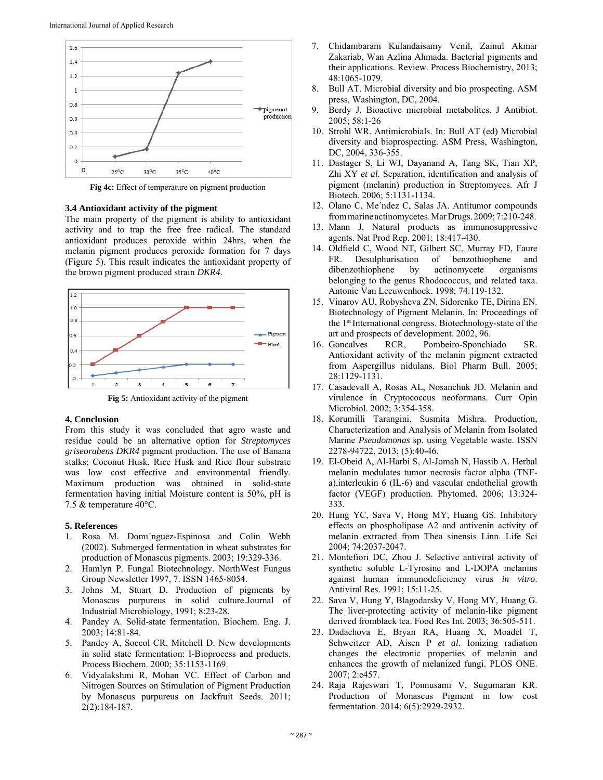

**Fig 4c:** Effect of temperature on pigment production

#### **3.4 Antioxidant activity of the pigment**

The main property of the pigment is ability to antioxidant activity and to trap the free free radical. The standard antioxidant produces peroxide within 24hrs, when the melanin pigment produces peroxide formation for 7 days (Figure 5). This result indicates the antioxidant property of the brown pigment produced strain *DKR4*.



**Fig 5:** Antioxidant activity of the pigment

#### **4. Conclusion**

From this study it was concluded that agro waste and residue could be an alternative option for *Streptomyces griseorubens DKR4* pigment production. The use of Banana stalks; Coconut Husk, Rice Husk and Rice flour substrate was low cost effective and environmental friendly. Maximum production was obtained in solid-state fermentation having initial Moisture content is 50%, pH is 7.5 & temperature 40°C.

## **5. References**

- 1. Rosa M. Domı´nguez-Espinosa and Colin Webb (2002). Submerged fermentation in wheat substrates for production of Monascus pigments. 2003; 19:329-336.
- 2. Hamlyn P. Fungal Biotechnology. NorthWest Fungus Group Newsletter 1997, 7. ISSN 1465-8054.
- 3. Johns M, Stuart D. Production of pigments by Monascus purpureus in solid culture.Journal of Industrial Microbiology, 1991; 8:23-28.
- 4. Pandey A. Solid-state fermentation. Biochem. Eng. J. 2003; 14:81-84.
- 5. Pandey A, Soccol CR, Mitchell D. New developments in solid state fermentation: I-Bioprocess and products. Process Biochem. 2000; 35:1153-1169.
- 6. Vidyalakshmi R, Mohan VC. Effect of Carbon and Nitrogen Sources on Stimulation of Pigment Production by Monascus purpureus on Jackfruit Seeds. 2011; 2(2):184-187.
- 7. Chidambaram Kulandaisamy Venil, Zainul Akmar Zakariab, Wan Azlina Ahmada. Bacterial pigments and their applications. Review. Process Biochemistry, 2013; 48:1065-1079.
- 8. Bull AT. Microbial diversity and bio prospecting. ASM press, Washington, DC, 2004.
- 9. Berdy J. Bioactive microbial metabolites. J Antibiot. 2005; 58:1-26
- 10. Strohl WR. Antimicrobials. In: Bull AT (ed) Microbial diversity and bioprospecting. ASM Press, Washington, DC, 2004, 336-355.
- 11. Dastager S, Li WJ, Dayanand A, Tang SK, Tian XP, Zhi XY *et al.* Separation, identification and analysis of pigment (melanin) production in Streptomyces. Afr J Biotech. 2006; 5:1131-1134.
- 12. Olano C, Me´ndez C, Salas JA. Antitumor compounds frommarine actinomycetes.MarDrugs. 2009;7:210-248.
- 13. Mann J. Natural products as immunosuppressive agents. Nat Prod Rep. 2001; 18:417-430.
- 14. Oldfield C, Wood NT, Gilbert SC, Murray FD, Faure FR. Desulphurisation of benzothiophene and dibenzothiophene by actinomycete organisms belonging to the genus Rhodococcus, and related taxa. Antonie Van Leeuwenhoek. 1998; 74:119-132.
- 15. Vinarov AU, Robysheva ZN, Sidorenko TE, Dirina EN. Biotechnology of Pigment Melanin. In: Proceedings of the 1st International congress. Biotechnology-state of the art and prospects of development. 2002, 96.
- 16. Goncalves RCR, Pombeiro-Sponchiado SR. Antioxidant activity of the melanin pigment extracted from Aspergillus nidulans. Biol Pharm Bull. 2005; 28:1129-1131.
- 17. Casadevall A, Rosas AL, Nosanchuk JD. Melanin and virulence in Cryptococcus neoformans. Curr Opin Microbiol. 2002; 3:354-358.
- 18. Korumilli Tarangini, Susmita Mishra. Production, Characterization and Analysis of Melanin from Isolated Marine *Pseudomonas* sp. using Vegetable waste. ISSN 2278-94722, 2013; (5):40-46.
- 19. El-Obeid A, Al-Harbi S, Al-Jomah N, Hassib A. Herbal melanin modulates tumor necrosis factor alpha (TNFa),interleukin 6 (IL-6) and vascular endothelial growth factor (VEGF) production. Phytomed. 2006; 13:324- 333.
- 20. Hung YC, Sava V, Hong MY, Huang GS. Inhibitory effects on phospholipase A2 and antivenin activity of melanin extracted from Thea sinensis Linn. Life Sci 2004; 74:2037-2047.
- 21. Montefiori DC, Zhou J. Selective antiviral activity of synthetic soluble L-Tyrosine and L-DOPA melanins against human immunodeficiency virus *in vitro*. Antiviral Res. 1991; 15:11-25.
- 22. Sava V, Hung Y, Blagodarsky V, Hong MY, Huang G. The liver-protecting activity of melanin-like pigment derived fromblack tea. Food Res Int. 2003; 36:505-511.
- 23. Dadachova E, Bryan RA, Huang X, Moadel T, Schweitzer AD, Aisen P *et al*. Ionizing radiation changes the electronic properties of melanin and enhances the growth of melanized fungi. PLOS ONE. 2007; 2:e457.
- 24. Raja Rajeswari T, Ponnusami V, Sugumaran KR. Production of Monascus Pigment in low cost fermentation. 2014; 6(5):2929-2932.